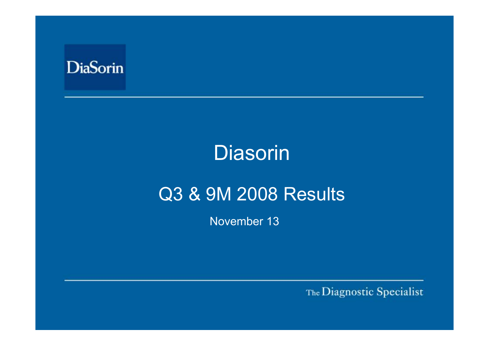

# Diasorin

# Q3 & 9M 2008 Results

November 13

The Diagnostic Specialist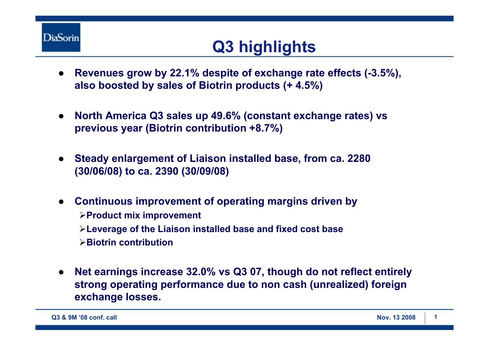

## **Q3 highlights**

- $\bullet$  **Revenues grow by 22.1% despite of exchange rate effects (-3.5%), also boosted by sales of Biotrin products (+ 4.5%)**
- $\bullet$  **North America Q3 sales up 49.6% (constant exchange rates) vs previous year (Biotrin contribution +8.7%)**
- ● **Steady enlargement of Liaison installed base, from ca. 2280 (30/06/08) to ca. 2390 (30/09/08)**
- ● **Continuous improvement of operating margins driven by** ¾**Product mix improvement** ¾**Leverage of the Liaison installed base and fixed cost base** ¾**Biotrin contribution**
- $\bullet$  **Net earnings increase 32.0% vs Q3 07, though do not reflect entirely strong operating performance due to non cash (unrealized) foreign exchange losses.**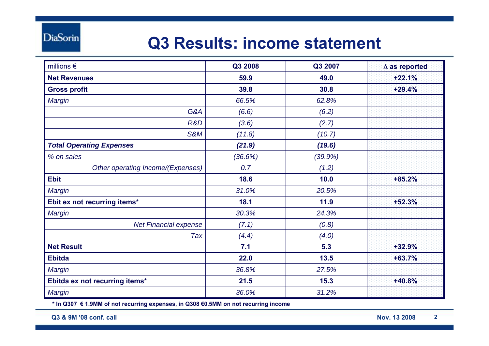### **Q3 Results: income statement**

| millions $\epsilon$               | Q3 2008 | Q3 2007 | $\Delta$ as reported |
|-----------------------------------|---------|---------|----------------------|
| <b>Net Revenues</b>               | 59.9    | 49.0    | $+22.1%$             |
| <b>Gross profit</b>               | 39.8    | 30.8    | $+29.4%$             |
| Margin                            | 66.5%   | 62.8%   |                      |
| G&A                               | (6.6)   | (6.2)   |                      |
| R&D                               | (3.6)   | (2.7)   |                      |
| S&M                               | (11.8)  | (10.7)  |                      |
| <b>Total Operating Expenses</b>   | (21.9)  | (19.6)  |                      |
| % on sales                        | (36.6%) | (39.9%) |                      |
| Other operating Income/(Expenses) | 0.7     | (1.2)   |                      |
| <b>Ebit</b>                       | 18.6    | 10.0    | $+85.2%$             |
| Margin                            | 31.0%   | 20.5%   |                      |
| Ebit ex not recurring items*      | 18.1    | 11.9    | $+52.3%$             |
| Margin                            | 30.3%   | 24.3%   |                      |
| Net Financial expense             | (7.1)   | (0.8)   |                      |
| Tax                               | (4.4)   | (4.0)   |                      |
| <b>Net Result</b>                 | 7.1     | 5.3     | $+32.9%$             |
| <b>Ebitda</b>                     | 22.0    | 13.5    | $+63.7%$             |
| Margin                            | 36.8%   | 27.5%   |                      |
| Ebitda ex not recurring items*    | 21.5    | 15.3    | +40.8%               |
| Margin                            | 36.0%   | 31.2%   |                      |

**\* In Q307 € 1.9MM of not recurring expenses, in Q308 €0.5MM on not recurring income**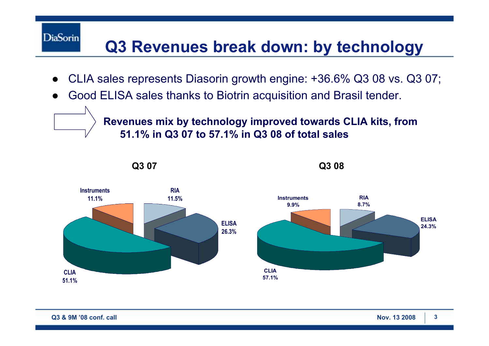# **Q3 Revenues break down: by technology**

- $\bullet$ CLIA sales represents Diasorin growth engine: +36.6% Q3 08 vs. Q3 07;
- ●Good ELISA sales thanks to Biotrin acquisition and Brasil tender.

**Revenues mix by technology improved towards CLIA kits, from 51.1% in Q3 07 to 57.1% in Q3 08 of total sales** 



**DiaSorin**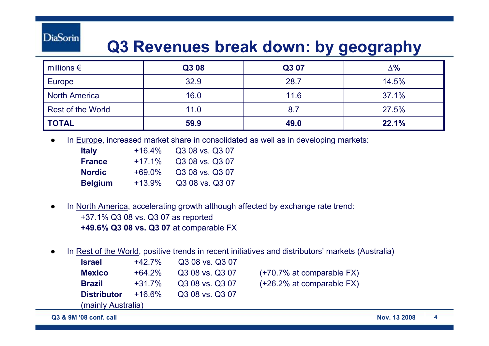**DiaSorin** 

### **Q3 Revenues break down: by geography**

| millions $\epsilon$      | Q3 08 | Q3 07 | $\Delta$ % |
|--------------------------|-------|-------|------------|
| Europe                   | 32.9  | 28.7  | 14.5%      |
| North America            | 16.0  | 11.6  | 37.1%      |
| <b>Rest of the World</b> | 11.0  | 8.7   | 27.5%      |
| <b>TOTAL</b>             | 59.9  | 49.0  | 22.1%      |

●In Europe, increased market share in consolidated as well as in developing markets:

| <b>Italy</b>   | $+16.4%$ | Q3 08 vs. Q3 07 |
|----------------|----------|-----------------|
| <b>France</b>  | $+17.1%$ | Q3 08 vs. Q3 07 |
| <b>Nordic</b>  | $+69.0%$ | Q3 08 vs. Q3 07 |
| <b>Belgium</b> | $+13.9%$ | Q3 08 vs. Q3 07 |

- ● In North America, accelerating growth although affected by exchange rate trend: +37.1% Q3 08 vs. Q3 07 as reported **+49.6% Q3 08 vs. Q3 07** at comparable FX
- ●In Rest of the World, positive trends in recent initiatives and distributors' markets (Australia)

| Israel             | $+42.7%$ | Q3 08 vs. Q3 07 |  |
|--------------------|----------|-----------------|--|
| <b>Mexico</b>      | $+64.2%$ | Q3 08 vs. Q3 07 |  |
| Brazil             | $+31.7%$ | Q3 08 vs. Q3 07 |  |
| <b>Distributor</b> | $+16.6%$ | Q3 08 vs. Q3 07 |  |
| (mainly Australia) |          |                 |  |
|                    |          |                 |  |

- **(+70.7% at comparable FX)**
- **(+26.2% at comparable FX)**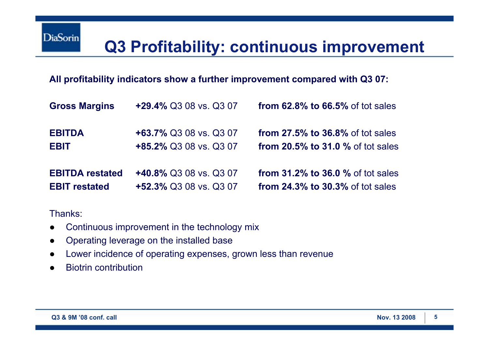#### **All profitability indicators show a further improvement compared with Q3 07:**

| <b>Gross Margins</b>   | +29.4% Q3 08 vs. Q3 07 | <b>from 62.8% to 66.5% of tot sales</b> |
|------------------------|------------------------|-----------------------------------------|
| <b>EBITDA</b>          | +63.7% Q3 08 vs. Q3 07 | <b>from 27.5% to 36.8% of tot sales</b> |
| <b>EBIT</b>            | +85.2% Q3 08 vs. Q3 07 | from $20.5\%$ to 31.0 $\%$ of tot sales |
| <b>EBITDA restated</b> | +40.8% Q3 08 vs. Q3 07 | from $31.2\%$ to $36.0\%$ of tot sales  |
| <b>EBIT restated</b>   | +52.3% Q3 08 vs. Q3 07 | <b>from 24.3% to 30.3% of tot sales</b> |

Thanks:

- ●Continuous improvement in the technology mix
- ●Operating leverage on the installed base
- ●Lower incidence of operating expenses, grown less than revenue
- ●Biotrin contribution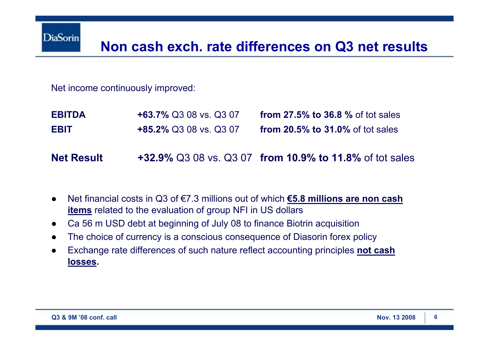Net income continuously improved:

| <b>EBITDA</b> | <b>+63.7% Q3 08 vs. Q3 07</b> | from $27.5\%$ to 36.8 $\%$ of tot sales |
|---------------|-------------------------------|-----------------------------------------|
| <b>EBIT</b>   | <b>+85.2% Q3 08 vs. Q3 07</b> | from $20.5\%$ to $31.0\%$ of tot sales  |

**Net Result+32.9%** Q3 08 vs. Q3 07 **from 10.9% to 11.8%** of tot sales

- ● Net financial costs in Q3 of €7.3 millions out of which **€5.8 millions are non cash items** related to the evaluation of group NFI in US dollars
- ●Ca 56 m USD debt at beginning of July 08 to finance Biotrin acquisition
- ●The choice of currency is a conscious consequence of Diasorin forex policy
- ● Exchange rate differences of such nature reflect accounting principles **not cash losses.**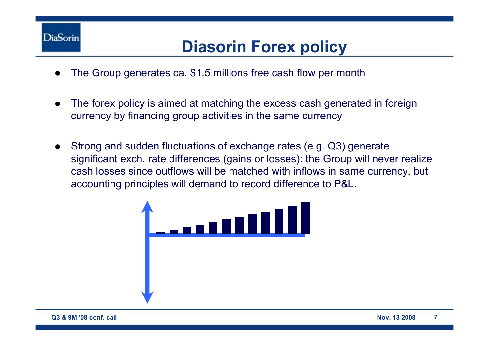

### **Diasorin Forex policy**

- ●The Group generates ca. \$1.5 millions free cash flow per month
- ● The forex policy is aimed at matching the excess cash generated in foreign currency by financing group activities in the same currency
- ● Strong and sudden fluctuations of exchange rates (e.g. Q3) generate significant exch. rate differences (gains or losses): the Group will never realize cash losses since outflows will be matched with inflows in same currency, but accounting principles will demand to record difference to P&L.

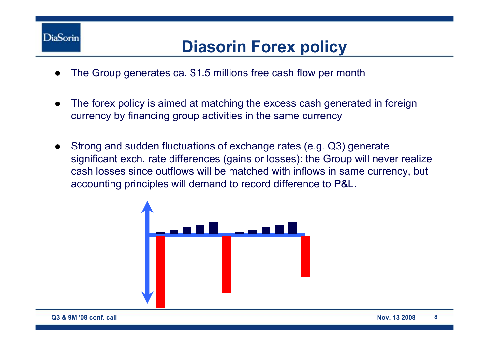

### **Diasorin Forex policy**

- ●The Group generates ca. \$1.5 millions free cash flow per month
- ● The forex policy is aimed at matching the excess cash generated in foreign currency by financing group activities in the same currency
- ● Strong and sudden fluctuations of exchange rates (e.g. Q3) generate significant exch. rate differences (gains or losses): the Group will never realize cash losses since outflows will be matched with inflows in same currency, but accounting principles will demand to record difference to P&L.

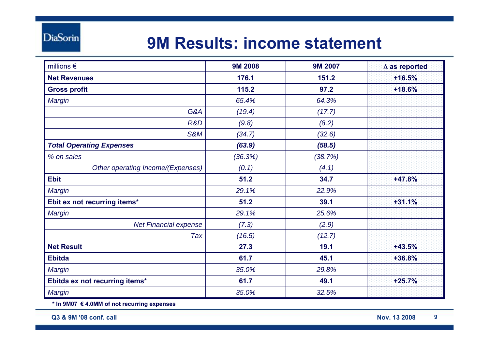### **9M Results: income statement**

| millions $\epsilon$               | <b>9M 2008</b> | <b>9M 2007</b> | $\Delta$ as reported |
|-----------------------------------|----------------|----------------|----------------------|
| <b>Net Revenues</b>               | 176.1          | 151.2          | $+16.5%$             |
| <b>Gross profit</b>               | 115.2          | 97.2           | $+18.6%$             |
| Margin                            | 65.4%          | 64.3%          |                      |
| G&A                               | (19.4)         | (17.7)         |                      |
| R&D                               | (9.8)          | (8.2)          |                      |
| S&M                               | (34.7)         | (32.6)         |                      |
| <b>Total Operating Expenses</b>   | (63.9)         | (58.5)         |                      |
| % on sales                        | (36.3%)        | (38.7%)        |                      |
| Other operating Income/(Expenses) | (0.1)          | (4.1)          |                      |
| <b>Ebit</b>                       | 51.2           | 34.7           | +47.8%               |
| Margin                            | 29.1%          | 22.9%          |                      |
| Ebit ex not recurring items*      | 51.2           | 39.1           | $+31.1%$             |
| Margin                            | 29.1%          | 25.6%          |                      |
| Net Financial expense             | (7.3)          | (2.9)          |                      |
| Tax                               | (16.5)         | (12.7)         |                      |
| <b>Net Result</b>                 | 27.3           | 19.1           | $+43.5%$             |
| <b>Ebitda</b>                     | 61.7           | 45.1           | +36.8%               |
| Margin                            | 35.0%          | 29.8%          |                      |
| Ebitda ex not recurring items*    | 61.7           | 49.1           | $+25.7%$             |
| Margin                            | 35.0%          | 32.5%          |                      |

**\* In 9M07 € 4.0MM of not recurring expenses**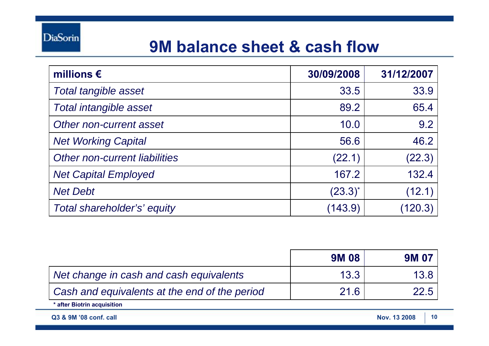

### **9M balance sheet & cash flow**

| millions $\epsilon$           | 30/09/2008   | 31/12/2007 |
|-------------------------------|--------------|------------|
| <b>Total tangible asset</b>   | 33.5         | 33.9       |
| <b>Total intangible asset</b> | 89.2         | 65.4       |
| Other non-current asset       | 10.0         | 9.2        |
| <b>Net Working Capital</b>    | 56.6         | 46.2       |
| Other non-current liabilities | (22.1)       | (22.3)     |
| <b>Net Capital Employed</b>   | 167.2        | 132.4      |
| <b>Net Debt</b>               | $(23.3)^{*}$ | (12.1)     |
| Total shareholder's' equity   | (143.9)      | (120.3)    |

|                                               | <b>9M08</b> | <b>9M 07</b>       |
|-----------------------------------------------|-------------|--------------------|
| Net change in cash and cash equivalents       | 13.3        | 13.8               |
| Cash and equivalents at the end of the period | 21.6        |                    |
| * after Biotrin acquisition                   |             |                    |
| Q3 & 9M '08 conf. call                        |             | 10<br>Nov. 13 2008 |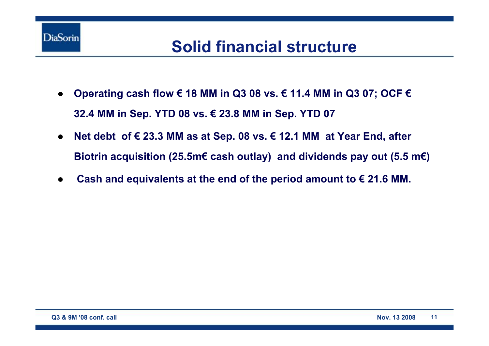

### **Solid financial structure**

- $\bullet$  **Operating cash flow € 18 MM in Q3 08 vs. € 11.4 MM in Q3 07; OCF € 32.4 MM in Sep. YTD 08 vs. € 23.8 MM in Sep. YTD 07**
- $\bullet$  **Net debt of € 23.3 MM as at Sep. 08 vs. € 12.1 MM at Year End, after Biotrin acquisition (25.5m€ cash outlay) and dividends pay out (5.5 m€)**
- ●**Cash and equivalents at the end of the period amount to € 21.6 MM.**